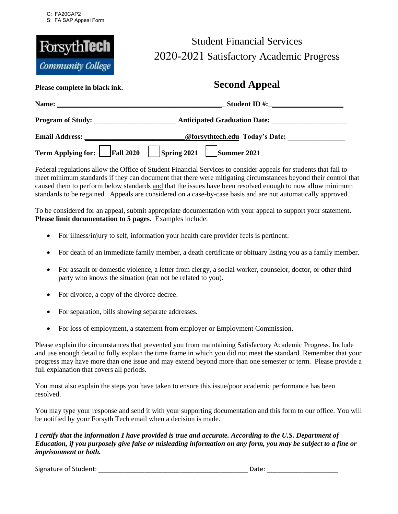

## Student Financial Services 2020-2021 Satisfactory Academic Progress

## **Please complete in black ink. Second Appeal**

| Name:                        | <b>Student ID#:</b>                                                      |  |  |
|------------------------------|--------------------------------------------------------------------------|--|--|
| Program of Study:            | Anticipated Graduation Date:                                             |  |  |
| <b>Email Address:</b>        | @forsythtech.edu Today's Date:                                           |  |  |
| Term Applying for: Fall 2020 | $\left  \text{Spring } 2021 \right  \left  \text{ Summer } 2021 \right $ |  |  |

Federal regulations allow the Office of Student Financial Services to consider appeals for students that fail to meet minimum standards if they can document that there were mitigating circumstances beyond their control that caused them to perform below standards and that the issues have been resolved enough to now allow minimum standards to be regained. Appeals are considered on a case-by-case basis and are not automatically approved.

To be considered for an appeal, submit appropriate documentation with your appeal to support your statement. **Please limit documentation to 5 pages**. Examples include:

- For illness/injury to self, information your health care provider feels is pertinent.
- For death of an immediate family member, a death certificate or obituary listing you as a family member.
- For assault or domestic violence, a letter from clergy, a social worker, counselor, doctor, or other third party who knows the situation (can not be related to you).
- For divorce, a copy of the divorce decree.
- For separation, bills showing separate addresses.
- For loss of employment, a statement from employer or Employment Commission.

Please explain the circumstances that prevented you from maintaining Satisfactory Academic Progress. Include and use enough detail to fully explain the time frame in which you did not meet the standard. Remember that your progress may have more than one issue and may extend beyond more than one semester or term. Please provide a full explanation that covers all periods.

You must also explain the steps you have taken to ensure this issue/poor academic performance has been resolved.

You may type your response and send it with your supporting documentation and this form to our office. You will be notified by your Forsyth Tech email when a decision is made.

*I certify that the information I have provided is true and accurate. According to the U.S. Department of Education, if you purposely give false or misleading information on any form, you may be subject to a fine or imprisonment or both.* 

Signature of Student: \_\_\_\_\_\_\_\_\_\_\_\_\_\_\_\_\_\_\_\_\_\_\_\_\_\_\_\_\_\_\_\_\_\_\_\_\_\_\_\_\_\_ Date: \_\_\_\_\_\_\_\_\_\_\_\_\_\_\_\_\_\_\_\_